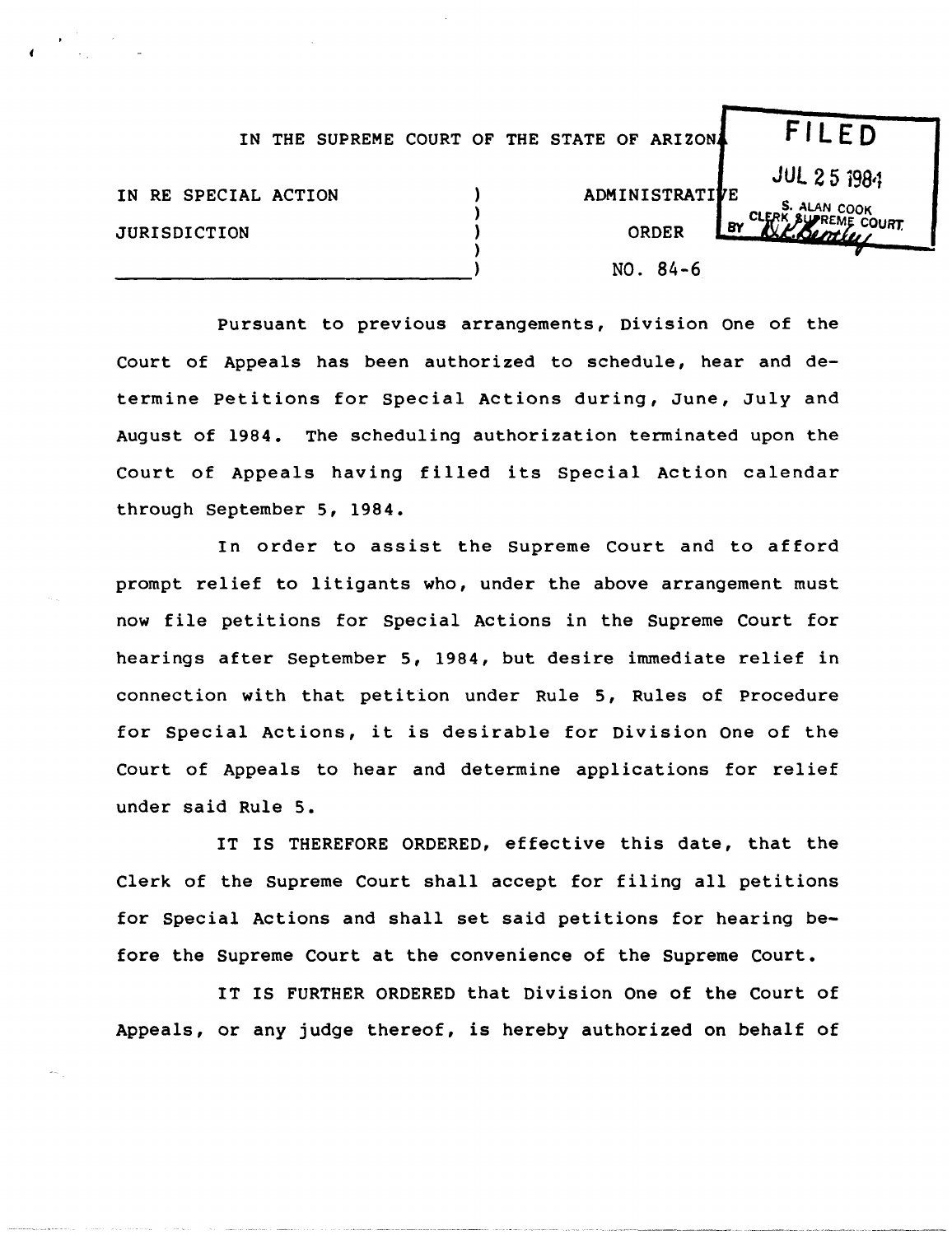|                                             | IN THE SUPREME COURT OF THE STATE OF ARIZON |  |  |                                       | FILED                                    |
|---------------------------------------------|---------------------------------------------|--|--|---------------------------------------|------------------------------------------|
| IN RE SPECIAL ACTION<br><b>JURISDICTION</b> |                                             |  |  | ADMINISTRATIVE<br>ORDER<br>$NO. 84-6$ | <b>JUL 25 1984</b><br>S. ALAN COOK<br>8Y |

Pursuant to previous arrangements, Division One of the Court of Appeals has been authorized to schedule, hear and determine petitions for special Actions during, June, July and August of 1984. The scheduling authorization terminated upon the Court of Appeals having filled its Special Action calendar through September 5, 1984.

In order to assist the Supreme Court and to afford prompt relief to litigants who, under the above arrangement must now file petitions for Special Actions in the Supreme Court for hearings after September 5, 1984, but desire immediate relief in connection with that petition under Rule 5, Rules of Procedure for Special Actions, it is desirable for Division One of the Court of Appeals to hear and determine applications for relief under said Rule 5.

IT IS THEREFORE ORDERED, effective this date, that the Clerk of the Supreme Court shall accept for filing all petitions for Special Actions and shall set said petitions for hearing before the Supreme Court at the convenience of the Supreme Court.

IT IS FURTHER ORDERED that Division One of the Court of Appeals, or any judge thereof, is hereby authorized on behalf of